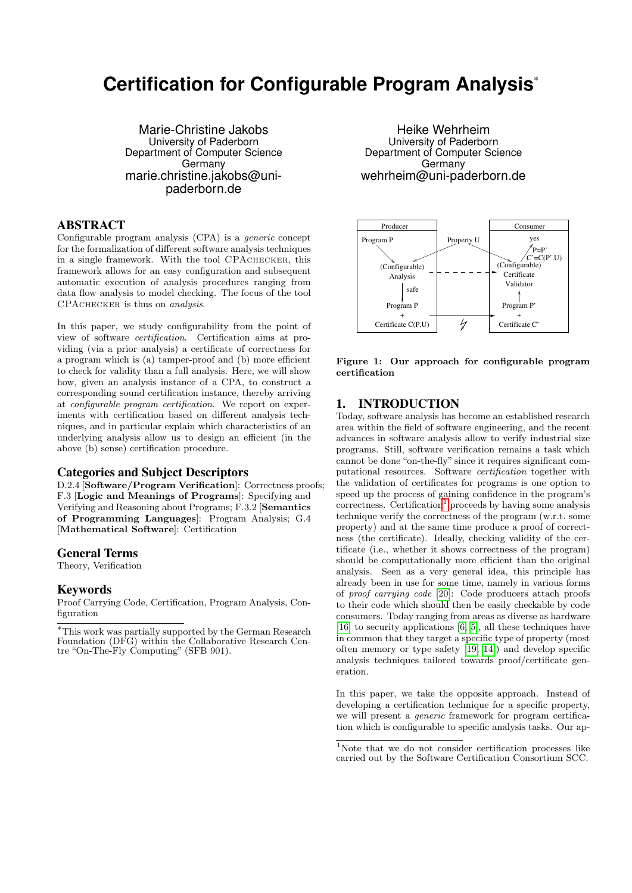# **Certification for Configurable Program Analysis**<sup>∗</sup>

Marie-Christine Jakobs University of Paderborn Department of Computer Science **Germany** marie.christine.jakobs@unipaderborn.de

# ABSTRACT

Configurable program analysis (CPA) is a generic concept for the formalization of different software analysis techniques in a single framework. With the tool CPAchecker, this framework allows for an easy configuration and subsequent automatic execution of analysis procedures ranging from data flow analysis to model checking. The focus of the tool CPAchecker is thus on analysis.

In this paper, we study configurability from the point of view of software certification. Certification aims at providing (via a prior analysis) a certificate of correctness for a program which is (a) tamper-proof and (b) more efficient to check for validity than a full analysis. Here, we will show how, given an analysis instance of a CPA, to construct a corresponding sound certification instance, thereby arriving at configurable program certification. We report on experiments with certification based on different analysis techniques, and in particular explain which characteristics of an underlying analysis allow us to design an efficient (in the above (b) sense) certification procedure.

## Categories and Subject Descriptors

D.2.4 [Software/Program Verification]: Correctness proofs; F.3 [Logic and Meanings of Programs]: Specifying and Verifying and Reasoning about Programs; F.3.2 [Semantics of Programming Languages]: Program Analysis; G.4 [Mathematical Software]: Certification

## General Terms

Theory, Verification

## Keywords

Proof Carrying Code, Certification, Program Analysis, Configuration

Heike Wehrheim University of Paderborn Department of Computer Science **Germany** wehrheim@uni-paderborn.de



<span id="page-0-1"></span>Figure 1: Our approach for configurable program certification

# 1. INTRODUCTION

Today, software analysis has become an established research area within the field of software engineering, and the recent advances in software analysis allow to verify industrial size programs. Still, software verification remains a task which cannot be done "on-the-fly" since it requires significant computational resources. Software certification together with the validation of certificates for programs is one option to speed up the process of gaining confidence in the program's  $corrections.$   $\tilde{C}$ ertification<sup>[1](#page-0-0)</sup> proceeds by having some analysis technique verify the correctness of the program (w.r.t. some property) and at the same time produce a proof of correctness (the certificate). Ideally, checking validity of the certificate (i.e., whether it shows correctness of the program) should be computationally more efficient than the original analysis. Seen as a very general idea, this principle has already been in use for some time, namely in various forms of proof carrying code [\[20\]](#page-8-0): Code producers attach proofs to their code which should then be easily checkable by code consumers. Today ranging from areas as diverse as hardware [\[16\]](#page-8-1) to security applications [\[6,](#page-7-0) [5\]](#page-7-1), all these techniques have in common that they target a specific type of property (most often memory or type safety [\[19,](#page-8-2) [14\]](#page-8-3)) and develop specific analysis techniques tailored towards proof/certificate generation.

In this paper, we take the opposite approach. Instead of developing a certification technique for a specific property. we will present a generic framework for program certification which is configurable to specific analysis tasks. Our ap-

<span id="page-0-0"></span><sup>1</sup>Note that we do not consider certification processes like carried out by the Software Certification Consortium SCC.

<sup>∗</sup>This work was partially supported by the German Research Foundation (DFG) within the Collaborative Research Centre "On-The-Fly Computing" (SFB 901).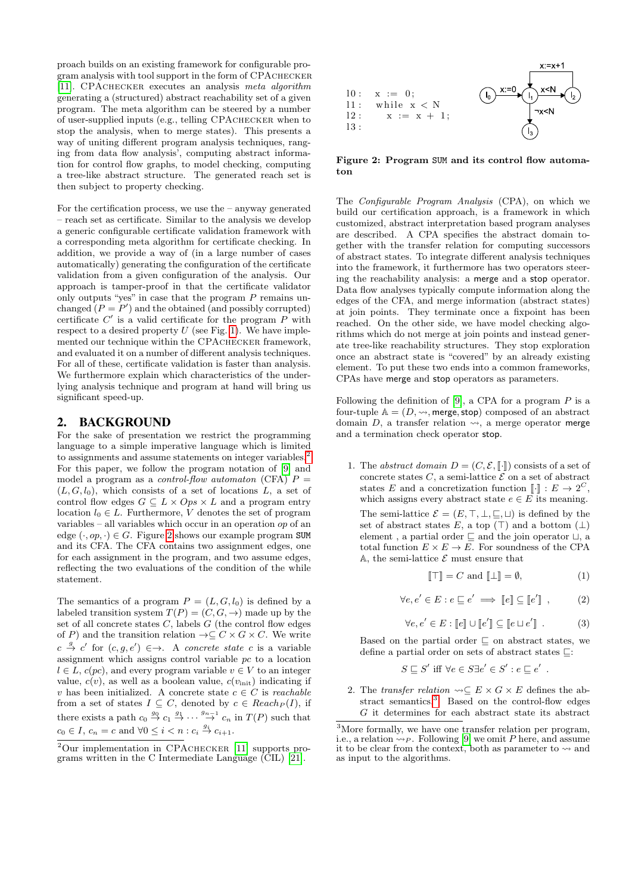proach builds on an existing framework for configurable program analysis with tool support in the form of CPAchecker [\[11\]](#page-8-4). CPAchecker executes an analysis meta algorithm generating a (structured) abstract reachability set of a given program. The meta algorithm can be steered by a number of user-supplied inputs (e.g., telling CPAchecker when to stop the analysis, when to merge states). This presents a way of uniting different program analysis techniques, ranging from data flow analysis', computing abstract information for control flow graphs, to model checking, computing a tree-like abstract structure. The generated reach set is then subject to property checking.

For the certification process, we use the – anyway generated – reach set as certificate. Similar to the analysis we develop a generic configurable certificate validation framework with a corresponding meta algorithm for certificate checking. In addition, we provide a way of (in a large number of cases automatically) generating the configuration of the certificate validation from a given configuration of the analysis. Our approach is tamper-proof in that the certificate validator only outputs "yes" in case that the program  $P$  remains unchanged  $(P = P')$  and the obtained (and possibly corrupted) certificate  $C'$  is a valid certificate for the program  $P$  with respect to a desired property  $U$  (see Fig. [1\)](#page-0-1). We have implemented our technique within the CPAchecker framework, and evaluated it on a number of different analysis techniques. For all of these, certificate validation is faster than analysis. We furthermore explain which characteristics of the underlying analysis technique and program at hand will bring us significant speed-up.

## 2. BACKGROUND

For the sake of presentation we restrict the programming language to a simple imperative language which is limited to assignments and assume statements on integer variables.<sup>[2](#page-1-0)</sup> For this paper, we follow the program notation of [\[9\]](#page-8-5) and model a program as a *control-flow automaton* (CFA)  $P =$  $(L, G, l_0)$ , which consists of a set of locations L, a set of control flow edges  $G \subseteq L \times Ops \times L$  and a program entry location  $l_0 \in L$ . Furthermore, V denotes the set of program variables – all variables which occur in an operation op of an edge  $(\cdot, op, \cdot) \in G$ . Figure [2](#page-1-1) shows our example program SUM and its CFA. The CFA contains two assignment edges, one for each assignment in the program, and two assume edges, reflecting the two evaluations of the condition of the while statement.

The semantics of a program  $P = (L, G, l_0)$  is defined by a labeled transition system  $T(P) = (C, G, \rightarrow)$  made up by the set of all concrete states  $C$ , labels  $G$  (the control flow edges of P) and the transition relation  $\rightarrow \subseteq C \times G \times C$ . We write  $c \stackrel{g}{\rightarrow} c'$  for  $(c, g, e') \in \rightarrow$ . A concrete state c is a variable assignment which assigns control variable pc to a location  $l \in L$ ,  $c(pc)$ , and every program variable  $v \in V$  to an integer value,  $c(v)$ , as well as a boolean value,  $c(v<sub>init</sub>)$  indicating if v has been initialized. A concrete state  $c \in C$  is reachable from a set of states  $I \subseteq C$ , denoted by  $c \in Reach_P(I)$ , if there exists a path  $c_0 \stackrel{g_0}{\rightarrow} c_1 \stackrel{g_1}{\rightarrow} \cdots \stackrel{g_{n-1}}{\rightarrow} c_n$  in  $T(P)$  such that  $c_0 \in I$ ,  $c_n = c$  and  $\forall 0 \leq i < n : c_i \stackrel{g_i}{\rightarrow} c_{i+1}$ .



<span id="page-1-1"></span>Figure 2: Program SUM and its control flow automaton

The Configurable Program Analysis (CPA), on which we build our certification approach, is a framework in which customized, abstract interpretation based program analyses are described. A CPA specifies the abstract domain together with the transfer relation for computing successors of abstract states. To integrate different analysis techniques into the framework, it furthermore has two operators steering the reachability analysis: a merge and a stop operator. Data flow analyses typically compute information along the edges of the CFA, and merge information (abstract states) at join points. They terminate once a fixpoint has been reached. On the other side, we have model checking algorithms which do not merge at join points and instead generate tree-like reachability structures. They stop exploration once an abstract state is "covered" by an already existing element. To put these two ends into a common frameworks, CPAs have merge and stop operators as parameters.

Following the definition of [\[9\]](#page-8-5), a CPA for a program  $P$  is a four-tuple  $\mathbb{A} = (D, \leadsto, \text{merge}, \text{stop})$  composed of an abstract domain  $D$ , a transfer relation  $\rightarrow$ , a merge operator merge and a termination check operator stop.

1. The abstract domain  $D = (C, \mathcal{E}, [\![\cdot]\!])$  consists of a set of concrete states C, a semi-lattice  $\mathcal{E}$  on a set of abstract states E and a concretization function  $[\cdot] : E \to 2^C$ , which assigns every abstract state  $e \in E$  its meaning. The semi-lattice  $\mathcal{E} = (E, \top, \bot, \sqsubseteq, \sqcup)$  is defined by the set of abstract states E, a top  $(\top)$  and a bottom  $(\bot)$ element , a partial order  $\sqsubseteq$  and the join operator  $\sqcup,$  a total function  $E \times E \to E$ . For soundness of the CPA A, the semi-lattice  $\mathcal E$  must ensure that

$$
\llbracket \top \rrbracket = C \text{ and } \llbracket \bot \rrbracket = \emptyset,\tag{1}
$$

$$
\forall e, e' \in E : e \sqsubseteq e' \implies [e] \subseteq [e'] \quad , \tag{2}
$$

$$
\forall e, e' \in E : [e] \cup [e'] \subseteq [e \sqcup e'] \quad . \tag{3}
$$

Based on the partial order  $\subseteq$  on abstract states, we define a partial order on sets of abstract states  $\Box$ :

$$
S \sqsubseteq S' \text{ iff } \forall e \in S \exists e' \in S' : e \sqsubseteq e' .
$$

2. The transfer relation  $\leadsto \subseteq E \times G \times E$  defines the ab-stract semantics.<sup>[3](#page-1-2)</sup> Based on the control-flow edges G it determines for each abstract state its abstract

<span id="page-1-0"></span><sup>2</sup>Our implementation in CPAchecker [\[11\]](#page-8-4) supports programs written in the C Intermediate Language  $\overline{\text{CIL}}$  [\[21\]](#page-8-6).

<span id="page-1-2"></span><sup>3</sup>More formally, we have one transfer relation per program, i.e., a relation  $\rightarrow P$ . Following [\[9\]](#page-8-5) we omit P here, and assume it to be clear from the context, both as parameter to  $\sim$  and as input to the algorithms.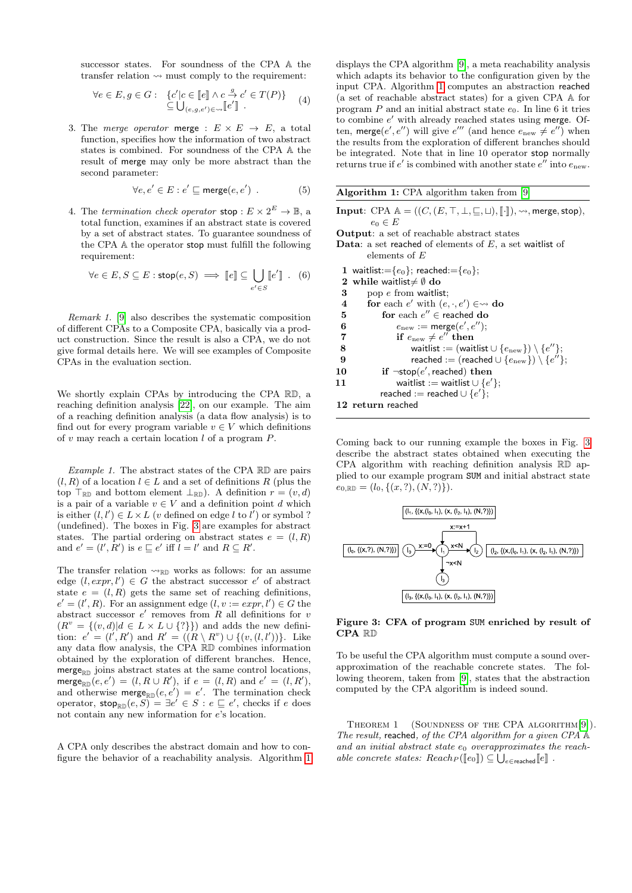successor states. For soundness of the CPA A the transfer relation  $\rightsquigarrow$  must comply to the requirement:

$$
\forall e \in E, g \in G: \quad \{c' | c \in [e] \land c \stackrel{g}{\to} c' \in T(P) \} \subseteq \bigcup_{(e,g,e') \in \sim} [e'] \quad . \tag{4}
$$

3. The merge operator merge :  $E \times E \rightarrow E$ , a total function, specifies how the information of two abstract states is combined. For soundness of the CPA A the result of merge may only be more abstract than the second parameter:

$$
\forall e, e' \in E : e' \sqsubseteq \text{merge}(e, e') . \tag{5}
$$

4. The termination check operator  $\mathsf{stop}: E \times 2^E \to \mathbb{B}$ , a total function, examines if an abstract state is covered by a set of abstract states. To guarantee soundness of the CPA A the operator stop must fulfill the following requirement:

$$
\forall e \in E, S \subseteq E : \mathsf{stop}(e, S) \implies [e] \subseteq \bigcup_{e' \in S} [e'] \ . \tag{6}
$$

Remark 1. [\[9\]](#page-8-5) also describes the systematic composition of different CPAs to a Composite CPA, basically via a product construction. Since the result is also a CPA, we do not give formal details here. We will see examples of Composite CPAs in the evaluation section.

We shortly explain CPAs by introducing the CPA RD, a reaching definition analysis [\[22\]](#page-8-7), on our example. The aim of a reaching definition analysis (a data flow analysis) is to find out for every program variable  $v \in V$  which definitions of v may reach a certain location  $l$  of a program  $P$ .

Example 1. The abstract states of the CPA  $\mathbb{R}^p$  are pairs  $(l, R)$  of a location  $l \in L$  and a set of definitions R (plus the top  $\top_{\mathbb{R}\mathbb{D}}$  and bottom element  $\bot_{\mathbb{R}\mathbb{D}}$ . A definition  $r = (v, d)$ is a pair of a variable  $v \in V$  and a definition point d which is either  $(l, l') \in L \times L$  (*v* defined on edge *l* to *l'*) or symbol? (undefined). The boxes in Fig. [3](#page-2-0) are examples for abstract states. The partial ordering on abstract states  $e = (l, R)$ and  $e' = (l', \overline{R}')$  is  $e \sqsubseteq e'$  iff  $l = l'$  and  $R \subseteq R'$ .

The transfer relation  $\leadsto_{\mathbb{RD}}$  works as follows: for an assume edge  $(l, expr, l') \in G$  the abstract successor e' of abstract state  $e = (l, R)$  gets the same set of reaching definitions,  $e' = (l', R)$ . For an assignment edge  $(l, v := expr, l') \in G$  the abstract successor  $e'$  removes from  $R$  all definitions for  $v$  $(R^v = \{(v, d) | d \in L \times L \cup \{? \}\})$  and adds the new definition:  $e' = (l', R')$  and  $R' = ((R \setminus R^v) \cup \{(v, (l, l'))\})$ . Like any data flow analysis, the CPA RD combines information obtained by the exploration of different branches. Hence,  $merge_{\mathbb{R}\mathbb{D}}$  joins abstract states at the same control locations, merge $_{\mathbb{R}}\mathbb{D}(e,e') = (l, R \cup R')$ , if  $e = (l, R)$  and  $e' = (l, R')$ , and otherwise merge $_{\mathbb{R}(\mathbb{D})}(e,e') = e'$ . The termination check operator,  $\mathsf{stop}_{\mathbb{R}\mathbb{D}}(e, S) = \exists e' \in S : e \sqsubseteq e'$ , checks if e does not contain any new information for e's location.

A CPA only describes the abstract domain and how to configure the behavior of a reachability analysis. Algorithm [1](#page-2-1)

displays the CPA algorithm [\[9\]](#page-8-5), a meta reachability analysis which adapts its behavior to the configuration given by the input CPA. Algorithm [1](#page-2-1) computes an abstraction reached (a set of reachable abstract states) for a given CPA A for program  $P$  and an initial abstract state  $e_0$ . In line 6 it tries to combine  $e'$  with already reached states using merge. Often, merge $(e', e'')$  will give  $e''''$  (and hence  $e_{\text{new}} \neq e''$ ) when the results from the exploration of different branches should be integrated. Note that in line 10 operator stop normally returns true if  $e'$  is combined with another state  $e''$  into  $e_{\text{new}}$ .

| <b>Algorithm 1:</b> CPA algorithm taken from [9]                                                                                                                                                                                                                                                                                                                                                                                                                                                                                                                                                |  |  |  |  |  |  |  |  |
|-------------------------------------------------------------------------------------------------------------------------------------------------------------------------------------------------------------------------------------------------------------------------------------------------------------------------------------------------------------------------------------------------------------------------------------------------------------------------------------------------------------------------------------------------------------------------------------------------|--|--|--|--|--|--|--|--|
| Input: CPA $\mathbb{A} = ((C, (E, \top, \bot, \sqsubseteq, \sqcup), \llbracket \cdot \rrbracket), \rightsquigarrow, \text{merge}, \text{stop}),$<br>$e_0 \in E$                                                                                                                                                                                                                                                                                                                                                                                                                                 |  |  |  |  |  |  |  |  |
| <b>Output:</b> a set of reachable abstract states<br><b>Data:</b> a set reached of elements of $E$ , a set waitlist of<br>elements of $E$                                                                                                                                                                                                                                                                                                                                                                                                                                                       |  |  |  |  |  |  |  |  |
| 1 waitlist:= $\{e_0\}$ ; reached:= $\{e_0\}$ ;<br>$2\,$ while waitlist $\neq\emptyset$ do<br>3<br>pop e from waitlist;<br>for each $e'$ with $(e, \cdot, e') \in \leadsto$ do<br>4<br>for each $e'' \in$ reached do<br>5<br>$e_{\text{new}} := \text{merge}(e', e'')$ ;<br>6<br>if $e_{\text{new}} \neq e''$ then<br>7<br>waitlist := (waitlist $\cup$ { $e_{\text{new}}$ }) \ { $e''$ };<br>8<br>reached := (reached $\cup$ { $e_{\text{new}}$ }) \{ $e''$ };<br>9<br>if $\neg stop(e', reached)$ then<br>10<br>waitlist := waitlist $\cup \{e'\};$<br>11<br>reached := reached $\cup \{e'\};$ |  |  |  |  |  |  |  |  |
| $12$ return reached                                                                                                                                                                                                                                                                                                                                                                                                                                                                                                                                                                             |  |  |  |  |  |  |  |  |

<span id="page-2-1"></span>Coming back to our running example the boxes in Fig. [3](#page-2-0) describe the abstract states obtained when executing the CPA algorithm with reaching definition analysis RD applied to our example program SUM and initial abstract state  $e_{0,\mathbb{R}\mathbb{D}} = (l_0, \{(x, ?), (N, ?)\}).$ 



#### <span id="page-2-0"></span>Figure 3: CFA of program SUM enriched by result of CPA RD

To be useful the CPA algorithm must compute a sound overapproximation of the reachable concrete states. The following theorem, taken from [\[9\]](#page-8-5), states that the abstraction computed by the CPA algorithm is indeed sound.

THEOREM 1 (SOUNDNESS OF THE CPA ALGORITHM<sup>[\[9\]](#page-8-5)</sup>). The result, reached, of the CPA algorithm for a given CPA A and an initial abstract state  $e_0$  overapproximates the reachable concrete states:  $Reach_P([\llbracket e_0 \rrbracket]) \subseteq \bigcup_{e \in \text{reached}} [\llbracket e \rrbracket$ .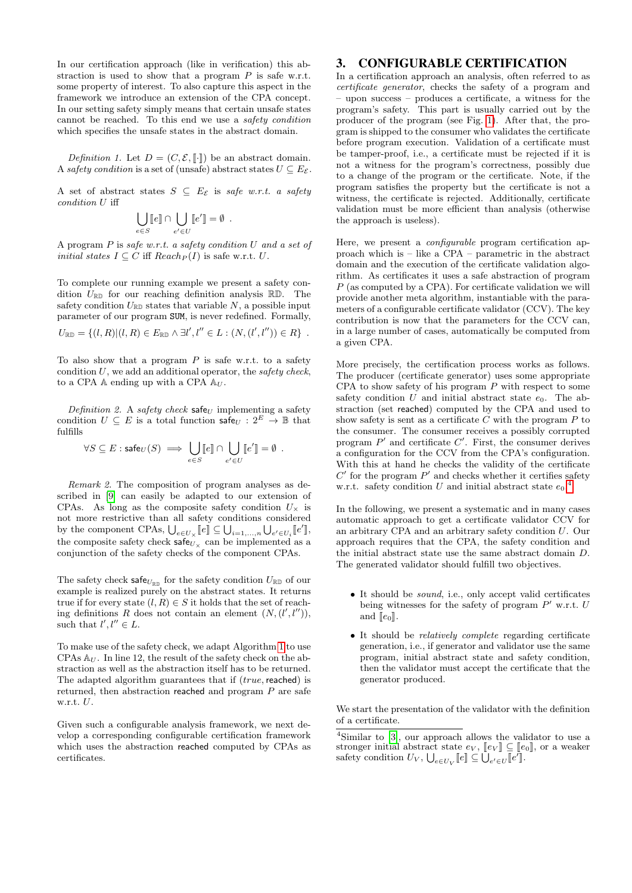In our certification approach (like in verification) this abstraction is used to show that a program  $P$  is safe w.r.t. some property of interest. To also capture this aspect in the framework we introduce an extension of the CPA concept. In our setting safety simply means that certain unsafe states cannot be reached. To this end we use a safety condition which specifies the unsafe states in the abstract domain.

Definition 1. Let  $D = (C, \mathcal{E}, \llbracket \cdot \rrbracket)$  be an abstract domain. A safety condition is a set of (unsafe) abstract states  $U \subseteq E_{\mathcal{E}}$ .

A set of abstract states  $S \subseteq E_{\mathcal{E}}$  is safe w.r.t. a safety condition U iff

$$
\bigcup_{e \in S} [e] \cap \bigcup_{e' \in U} [e'] = \emptyset .
$$

A program P is safe w.r.t. a safety condition U and a set of *initial states*  $I \subseteq C$  iff  $Reach_P(I)$  is safe w.r.t. U.

To complete our running example we present a safety condition  $U_{\mathbb{R}D}$  for our reaching definition analysis  $\mathbb{R}D$ . The safety condition  $U_{\mathbb{R} \mathbb{D}}$  states that variable N, a possible input parameter of our program SUM, is never redefined. Formally,

$$
U_{\mathbb{R}\mathbb{D}} = \{ (l, R) | (l, R) \in E_{\mathbb{R}\mathbb{D}} \wedge \exists l', l'' \in L : (N, (l', l'')) \in R \} .
$$

To also show that a program  $P$  is safe w.r.t. to a safety condition  $U$ , we add an additional operator, the *safety check*, to a CPA  $\mathbb A$  ending up with a CPA  $\mathbb A_U$ .

<span id="page-3-1"></span>Definition 2. A safety check safe<sub>U</sub> implementing a safety condition  $U \subseteq E$  is a total function  $\mathsf{safe}_U : 2^E \to \mathbb{B}$  that fulfills

$$
\forall S \subseteq E : \mathsf{safe}_U(S) \implies \bigcup_{e \in S} [e] \cap \bigcup_{e' \in U} [e'] = \emptyset.
$$

Remark 2. The composition of program analyses as described in [\[9\]](#page-8-5) can easily be adapted to our extension of CPAs. As long as the composite safety condition  $U_{\times}$  is not more restrictive than all safety conditions considered by the component CPAs,  $\bigcup_{e \in U_{\chi}} [e] \subseteq \bigcup_{i=1,\dots,n} \bigcup_{e' \in U_i} [e']$ the composite safety check  $\mathsf{safe}_{U_\times}$  can be implemented as a conjunction of the safety checks of the component CPAs.

The safety check  $\mathsf{safe}_{U_{\mathbb{RD}}}$  for the safety condition  $U_{\mathbb{RD}}$  of our example is realized purely on the abstract states. It returns true if for every state  $(l, R) \in S$  it holds that the set of reaching definitions R does not contain an element  $(N, (l', l''))$ , such that  $l', l'' \in L$ .

To make use of the safety check, we adapt Algorithm [1](#page-2-1) to use CPAs  $A_{U}$ . In line 12, the result of the safety check on the abstraction as well as the abstraction itself has to be returned. The adapted algorithm guarantees that if  $(true, reached)$  is returned, then abstraction reached and program P are safe w.r.t. U.

Given such a configurable analysis framework, we next develop a corresponding configurable certification framework which uses the abstraction reached computed by CPAs as certificates.

# 3. CONFIGURABLE CERTIFICATION

In a certification approach an analysis, often referred to as certificate generator, checks the safety of a program and – upon success – produces a certificate, a witness for the program's safety. This part is usually carried out by the producer of the program (see Fig. [1\)](#page-0-1). After that, the program is shipped to the consumer who validates the certificate before program execution. Validation of a certificate must be tamper-proof, i.e., a certificate must be rejected if it is not a witness for the program's correctness, possibly due to a change of the program or the certificate. Note, if the program satisfies the property but the certificate is not a witness, the certificate is rejected. Additionally, certificate validation must be more efficient than analysis (otherwise the approach is useless).

Here, we present a configurable program certification approach which is – like a CPA – parametric in the abstract domain and the execution of the certificate validation algorithm. As certificates it uses a safe abstraction of program  $P$  (as computed by a CPA). For certificate validation we will provide another meta algorithm, instantiable with the parameters of a configurable certificate validator (CCV). The key contribution is now that the parameters for the CCV can, in a large number of cases, automatically be computed from a given CPA.

More precisely, the certification process works as follows. The producer (certificate generator) uses some appropriate CPA to show safety of his program  $P$  with respect to some safety condition  $U$  and initial abstract state  $e_0$ . The abstraction (set reached) computed by the CPA and used to show safety is sent as a certificate  $C$  with the program  $P$  to the consumer. The consumer receives a possibly corrupted program  $P'$  and certificate  $C'$ . First, the consumer derives a configuration for the CCV from the CPA's configuration. With this at hand he checks the validity of the certificate  $C'$  for the program  $P'$  and checks whether it certifies safety w.r.t. safety condition U and initial abstract state  $e_0$ .<sup>[4](#page-3-0)</sup>

In the following, we present a systematic and in many cases automatic approach to get a certificate validator CCV for an arbitrary CPA and an arbitrary safety condition U. Our approach requires that the CPA, the safety condition and the initial abstract state use the same abstract domain D. The generated validator should fulfill two objectives.

- It should be sound, i.e., only accept valid certificates being witnesses for the safety of program  $P'$  w.r.t.  $U$ and  $\llbracket e_0 \rrbracket$ .
- It should be relatively complete regarding certificate generation, i.e., if generator and validator use the same program, initial abstract state and safety condition, then the validator must accept the certificate that the generator produced.

We start the presentation of the validator with the definition of a certificate.

<span id="page-3-0"></span><sup>4</sup>Similar to [\[3\]](#page-7-2), our approach allows the validator to use a stronger initial abstract state  $ev$ ,  $[ev] \subseteq [eo]$ , or a weaker safety condition  $U_V$ ,  $\bigcup_{e \in U_V} [e] \subseteq \bigcup_{e' \in U} [e']$ .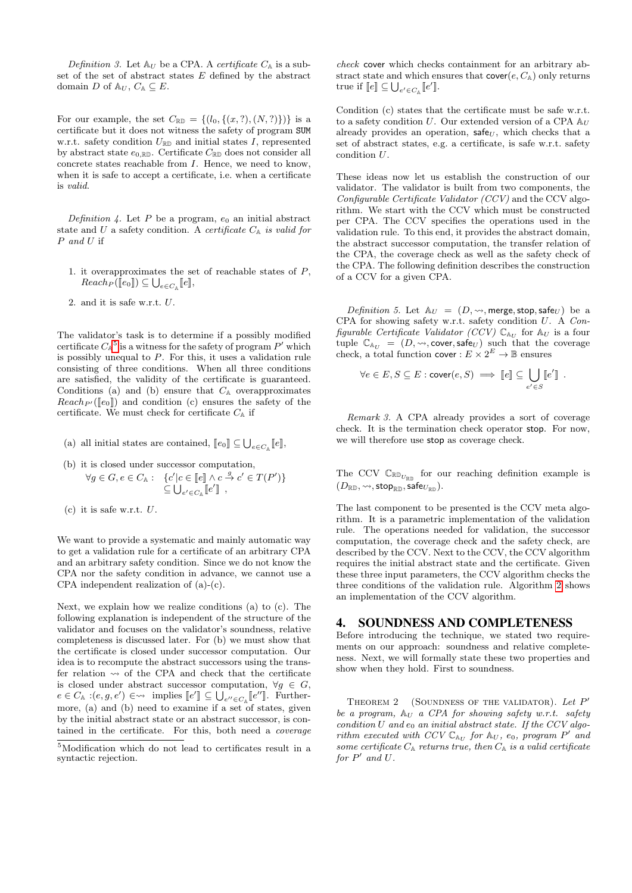Definition 3. Let  $\mathbb{A}_U$  be a CPA. A certificate  $C_{\mathbb{A}}$  is a subset of the set of abstract states  $E$  defined by the abstract domain D of  $\mathbb{A}_U$ ,  $C_{\mathbb{A}} \subseteq E$ .

For our example, the set  $C_{\mathbb{R}\mathbb{D}} = \{(l_0, \{(x, ?), (N, ?)\})\}$  is a certificate but it does not witness the safety of program SUM w.r.t. safety condition  $U_{\mathbb{R}D}$  and initial states I, represented by abstract state  $e_{0,\mathbb{R}\mathbb{D}}$ . Certificate  $C_{\mathbb{R}\mathbb{D}}$  does not consider all concrete states reachable from I. Hence, we need to know, when it is safe to accept a certificate, i.e. when a certificate is valid.

Definition 4. Let P be a program,  $e_0$  an initial abstract state and  $U$  a safety condition. A *certificate*  $C_A$  is valid for P and U if

- 1. it overapproximates the set of reachable states of P,  $Reach_P([\![e_0]\!]) \subseteq \bigcup_{e \in C_{\mathbb{A}}} [\![e]\!],$
- 2. and it is safe w.r.t. U.

The validator's task is to determine if a possibly modified certificate  $C_A^{\S}$  is a witness for the safety of program  $P'$  which is possibly unequal to  $P$ . For this, it uses a validation rule consisting of three conditions. When all three conditions are satisfied, the validity of the certificate is guaranteed. Conditions (a) and (b) ensure that  $C_A$  overapproximates  $Reach_{P'}(\llbracket e_0 \rrbracket)$  and condition (c) ensures the safety of the certificate. We must check for certificate  $C_{\mathbb{A}}$  if

- (a) all initial states are contained,  $[\![e_0]\!] \subseteq \bigcup_{e \in C_{\mathbb{A}}} [\![e]\!]$ ,
- (b) it is closed under successor computation,
- $\forall g \in G, e \in C_{\mathbb{A}}: \begin{array}{l} \{c' | c \in [\![ e ]\!] \wedge c \xrightarrow{g} c' \in T(P') \} \\ \subset \Box \qquad \qquad \Box' \end{array}$  $\subseteq \bigcup_{e' \in C_{\mathbb{A}}} [e']$ ,

 $(c)$  it is safe w.r.t.  $U$ .

We want to provide a systematic and mainly automatic way to get a validation rule for a certificate of an arbitrary CPA and an arbitrary safety condition. Since we do not know the CPA nor the safety condition in advance, we cannot use a CPA independent realization of (a)-(c).

Next, we explain how we realize conditions (a) to (c). The following explanation is independent of the structure of the validator and focuses on the validator's soundness, relative completeness is discussed later. For (b) we must show that the certificate is closed under successor computation. Our idea is to recompute the abstract successors using the transfer relation  $\leadsto$  of the CPA and check that the certificate is closed under abstract successor computation,  $\forall g \in G$ ,  $e \in C_A : (e, g, e') \in \sim$  implies  $[ e' ] \subseteq \bigcup_{e' \in C_A} [e'']$ . Furthermore, (a) and (b) need to examine if a set of states, given by the initial abstract state or an abstract successor, is contained in the certificate. For this, both need a coverage

check cover which checks containment for an arbitrary abstract state and which ensures that  $cover(e, C_A)$  only returns true if  $\llbracket e \rrbracket \subseteq \bigcup_{e' \in C_{\mathbb{A}}} \llbracket e' \rrbracket$ .

Condition (c) states that the certificate must be safe w.r.t. to a safety condition  $U$ . Our extended version of a CPA  $\mathbb{A}_U$ already provides an operation,  $\mathsf{safe}_U$ , which checks that a set of abstract states, e.g. a certificate, is safe w.r.t. safety condition U.

These ideas now let us establish the construction of our validator. The validator is built from two components, the Configurable Certificate Validator (CCV) and the CCV algorithm. We start with the CCV which must be constructed per CPA. The CCV specifies the operations used in the validation rule. To this end, it provides the abstract domain, the abstract successor computation, the transfer relation of the CPA, the coverage check as well as the safety check of the CPA. The following definition describes the construction of a CCV for a given CPA.

Definition 5. Let  $A_U = (D, \rightsquigarrow, \text{merge}, \text{stop}, \text{safe}_U)$  be a CPA for showing safety w.r.t. safety condition U. A Configurable Certificate Validator (CCV)  $\mathbb{C}_{A_U}$  for  $A_U$  is a four tuple  $\mathbb{C}_{A_U} = (D, \leadsto, \text{cover}, \text{safe}_U)$  such that the coverage check, a total function cover :  $E \times 2^E \rightarrow \mathbb{B}$  ensures

$$
\forall e \in E, S \subseteq E : \text{cover}(e, S) \implies [e] \subseteq \bigcup_{e' \in S} [e'] .
$$

Remark 3. A CPA already provides a sort of coverage check. It is the termination check operator stop. For now, we will therefore use stop as coverage check.

The CCV  $\mathbb{C}_{\mathbb{R} D_{U_{\mathbb{R} D}}}$  for our reaching definition example is  $(D_{\mathbb{RD}}, \leadsto, \mathsf{stop}_{\mathbb{RD}}, \widetilde{\mathsf{safe}}_{U_{\mathbb{RD}}}).$ 

The last component to be presented is the CCV meta algorithm. It is a parametric implementation of the validation rule. The operations needed for validation, the successor computation, the coverage check and the safety check, are described by the CCV. Next to the CCV, the CCV algorithm requires the initial abstract state and the certificate. Given these three input parameters, the CCV algorithm checks the three conditions of the validation rule. Algorithm [2](#page-5-0) shows an implementation of the CCV algorithm.

### 4. SOUNDNESS AND COMPLETENESS

Before introducing the technique, we stated two requirements on our approach: soundness and relative completeness. Next, we will formally state these two properties and show when they hold. First to soundness.

THEOREM 2 (SOUNDNESS OF THE VALIDATOR). Let  $P'$ be a program,  $\mathbb{A}_U$  a CPA for showing safety w.r.t. safety  $condition U$  and  $e_0$  an initial abstract state. If the CCV algorithm executed with  $CCV \mathbb{C}_{A_U}$  for  $A_U$ , e<sub>0</sub>, program P' and some certificate  $C_A$  returns true, then  $C_A$  is a valid certificate for  $P'$  and  $U$ .

<span id="page-4-0"></span><sup>5</sup>Modification which do not lead to certificates result in a syntactic rejection.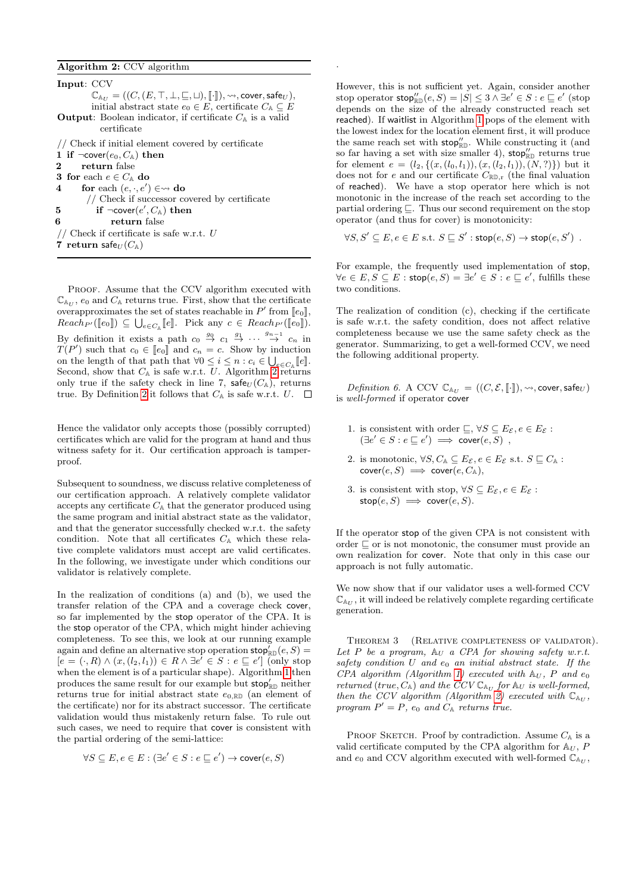Input: CCV  $\mathbb{C}_{\mathbb{A}_U} = ((C, (E, \top, \bot, \sqsubseteq, \sqcup), \llbracket \cdot \rrbracket), \leadsto, \mathsf{cover}, \mathsf{safe}_U),$ initial abstract state  $e_0 \in E$ , certificate  $C_A \subseteq E$ **Output:** Boolean indicator, if certificate  $C_A$  is a valid certificate // Check if initial element covered by certificate 1 if  $\neg cover(e_0, C_A)$  then 2 return false 3 for each  $e \in C_{\mathbb{A}}$  do 4 for each  $(e, \cdot, e') \in \leadsto$  do // Check if successor covered by certificate 5 if  $\neg cover(e', C_A)$  then 6 return false  $//$  Check if certificate is safe w.r.t.  $U$ 7 return safe $_U(C_\mathbb{A})$ 

<span id="page-5-0"></span>PROOF. Assume that the CCV algorithm executed with  $\mathbb{C}_{A_U}$ ,  $e_0$  and  $C_A$  returns true. First, show that the certificate overapproximates the set of states reachable in P' from  $[\![\![e_0]\!]$ ,<br>  $\text{Reach}_{\mathcal{L}}([\![e_2]\!]) \subseteq \Box$   $[\![e_1]\!]$ . Pick any  $e \in \text{Reach}_{\mathcal{L}}([\![e_2]\!])$ .  $Reach_{P'}(\llbracket e_0 \rrbracket) \subseteq \bigcup_{e \in C_{\mathbb{A}}} \llbracket e \rrbracket.$  Pick any  $c \in Read_{P'}(\llbracket e_0 \rrbracket).$ By definition it exists a path  $c_0 \stackrel{g_0}{\rightarrow} c_1 \stackrel{g_1}{\rightarrow} \cdots \stackrel{g_{n-1}}{\rightarrow} c_n$  in  $T(P')$  such that  $c_0 \in [e_0]$  and  $c_n = c$ . Show by induction<br>on the length of that path that  $\forall 0 \le i \le n : c_i \in \mathbb{N}$ on the length of that path that  $\forall 0 \leq i \leq n : c_i \in \bigcup_{e \in C_{\mathbb{A}}} [e]$ .<br>Second show that  $C_i$  is safe w.r.t.  $U$ , Algorithm 2 returns Second, show that  $C_A$  is safe w.r.t. U. Algorithm [2](#page-5-0) returns only true if the safety check in line 7,  $\mathsf{safe}_U(C_{\mathbb{A}})$ , returns true. By Definition [2](#page-3-1) it follows that  $C_{\mathbb{A}}$  is safe w.r.t.  $U$ .  $\square$ 

Hence the validator only accepts those (possibly corrupted) certificates which are valid for the program at hand and thus witness safety for it. Our certification approach is tamperproof.

Subsequent to soundness, we discuss relative completeness of our certification approach. A relatively complete validator accepts any certificate  $C_{\mathbb{A}}$  that the generator produced using the same program and initial abstract state as the validator, and that the generator successfully checked w.r.t. the safety condition. Note that all certificates  $C_A$  which these relative complete validators must accept are valid certificates. In the following, we investigate under which conditions our validator is relatively complete.

In the realization of conditions (a) and (b), we used the transfer relation of the CPA and a coverage check cover, so far implemented by the stop operator of the CPA. It is the stop operator of the CPA, which might hinder achieving completeness. To see this, we look at our running example again and define an alternative stop operation  $\mathsf{stop}_{\mathbb{R}\mathbb{D}}'(e, S) =$  $[e = (\cdot, R) \wedge (x, (l_2, l_1)) \in R \wedge \exists e' \in S : e \sqsubseteq e']$  (only stop when the element is of a particular shape). Algorithm [1](#page-2-1) then produces the same result for our example but  $stop'_{\mathbb{R}\mathbb{D}}$  neither returns true for initial abstract state  $e_{0,\mathbb{RD}}$  (an element of the certificate) nor for its abstract successor. The certificate validation would thus mistakenly return false. To rule out such cases, we need to require that cover is consistent with the partial ordering of the semi-lattice:

$$
\forall S \subseteq E, e \in E : (\exists e' \in S : e \sqsubseteq e') \to \text{cover}(e, S)
$$

However, this is not sufficient yet. Again, consider another stop operator  $\mathsf{stop}^{\prime\prime}_{\mathbb{R}\mathbb{D}}(e, S) = |S| \leq 3 \wedge \exists e' \in S : e \sqsubseteq e'$  (stop depends on the size of the already constructed reach set reached). If waitlist in Algorithm [1](#page-2-1) pops of the element with the lowest index for the location element first, it will produce the same reach set with  $stop''_{\mathbb{R}\mathbb{D}}$ . While constructing it (and so far having a set with size smaller 4), stop $\mu_{\mathbb{R}D}^{\prime\prime}$  returns true for element  $e = (l_2, \{(x,(l_0,l_1)),(x,(l_2,l_1)),(N, ?)\})$  but it does not for e and our certificate  $C_{\mathbb{R}D,r}$  (the final valuation of reached). We have a stop operator here which is not monotonic in the increase of the reach set according to the partial ordering  $\subseteq$ . Thus our second requirement on the stop operator (and thus for cover) is monotonicity:

.

$$
\forall S, S' \subseteq E, e \in E \text{ s.t. } S \sqsubseteq S' : \mathsf{stop}(e, S) \to \mathsf{stop}(e, S') .
$$

For example, the frequently used implementation of stop,  $\forall e \in E, S \subseteq E : \mathsf{stop}(e, S) = \exists e' \in S : e \sqsubseteq e', \text{ fulfills these}$ two conditions.

The realization of condition (c), checking if the certificate is safe w.r.t. the safety condition, does not affect relative completeness because we use the same safety check as the generator. Summarizing, to get a well-formed CCV, we need the following additional property.

<span id="page-5-1"></span>Definition 6. A CCV  $\mathbb{C}_{A_U} = ((C, \mathcal{E}, [\![\cdot]\!]), \rightsquigarrow, \text{cover}, \textsf{safe}_U)$ is well-formed if operator cover

- 1. is consistent with order  $\sqsubseteq$ ,  $\forall S \subseteq E_{\mathcal{E}}$ ,  $e \in E_{\mathcal{E}}$ :  $(\exists e' \in S : e \sqsubseteq e') \implies \mathsf{cover}(e, S)$ ,
- 2. is monotonic,  $\forall S, C_{\mathbb{A}} \subseteq E_{\mathcal{E}}, e \in E_{\mathcal{E}}$  s.t.  $S \sqsubseteq C_{\mathbb{A}}$ :  $cover(e, S) \implies cover(e, C_A),$
- 3. is consistent with stop,  $\forall S \subseteq E_{\mathcal{E}}, e \in E_{\mathcal{E}}$ :  $\mathsf{stop}(e, S) \implies \mathsf{cover}(e, S).$

If the operator stop of the given CPA is not consistent with order  $\sqsubseteq$  or is not monotonic, the consumer must provide an own realization for cover. Note that only in this case our approach is not fully automatic.

We now show that if our validator uses a well-formed CCV  $\mathbb{C}_{\mathbb{A}_U}$  , it will indeed be relatively complete regarding certificate generation.

Theorem 3 (Relative completeness of validator). Let P be a program,  $\mathbb{A}_U$  a CPA for showing safety w.r.t. safety condition  $U$  and  $e_0$  an initial abstract state. If the CPA algorithm (Algorithm [1\)](#page-2-1) executed with  $A_U$ , P and  $e_0$ returned (true,  $\hat{C}_{A}$ ) and the  $\hat{CCV} \mathbb{C}_{A_U}$  for  $\mathbb{A}_U$  is well-formed, then the CCV algorithm (Algorithm [2\)](#page-5-0) executed with  $\mathbb{C}_{A_U}$ , program  $P' = P$ ,  $e_0$  and  $C_A$  returns true.

PROOF SKETCH. Proof by contradiction. Assume  $C_A$  is a valid certificate computed by the CPA algorithm for  $A_U$ , P and  $e_0$  and CCV algorithm executed with well-formed  $\mathbb{C}_{A_U}$ ,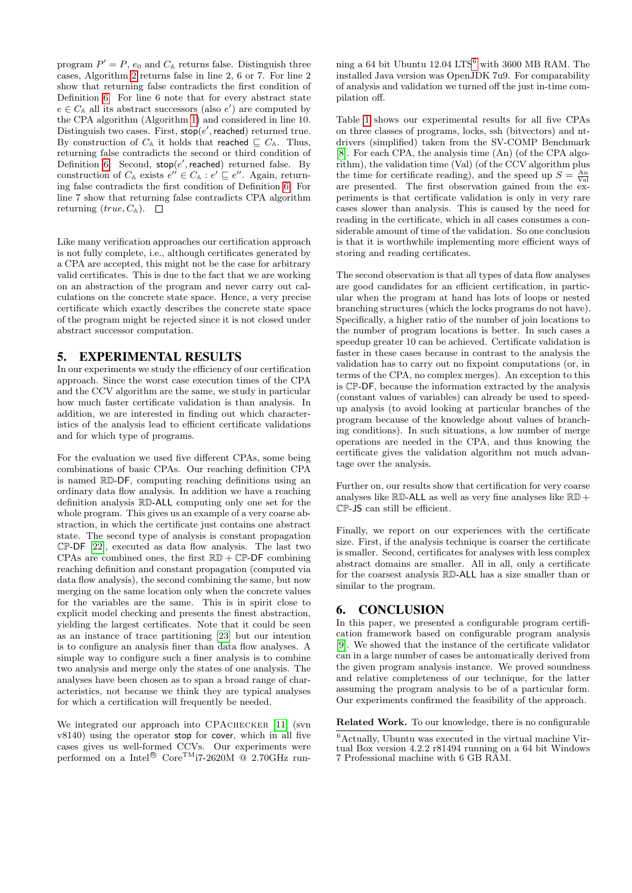program  $P' = P$ ,  $e_0$  and  $C_A$  returns false. Distinguish three cases, Algorithm [2](#page-5-0) returns false in line 2, 6 or 7. For line 2 show that returning false contradicts the first condition of Definition [6.](#page-5-1) For line 6 note that for every abstract state  $e \in C_A$  all its abstract successors (also  $e'$ ) are computed by the CPA algorithm (Algorithm [1\)](#page-2-1) and considered in line 10. Distinguish two cases. First,  $stop(e', reached)$  returned true. By construction of  $C_A$  it holds that reached  $\subseteq C_A$ . Thus, returning false contradicts the second or third condition of Definition [6.](#page-5-1) Second,  $stop(e', reached)$  returned false. By construction of  $C_A$  exists  $e'' \in C_A : e' \sqsubseteq e''$ . Again, returning false contradicts the first condition of Definition [6.](#page-5-1) For line 7 show that returning false contradicts CPA algorithm returning  $(true, C_{\mathbb{A}})$ .  $\Box$ 

Like many verification approaches our certification approach is not fully complete, i.e., although certificates generated by a CPA are accepted, this might not be the case for arbitrary valid certificates. This is due to the fact that we are working on an abstraction of the program and never carry out calculations on the concrete state space. Hence, a very precise certificate which exactly describes the concrete state space of the program might be rejected since it is not closed under abstract successor computation.

# 5. EXPERIMENTAL RESULTS

In our experiments we study the efficiency of our certification approach. Since the worst case execution times of the CPA and the CCV algorithm are the same, we study in particular how much faster certificate validation is than analysis. In addition, we are interested in finding out which characteristics of the analysis lead to efficient certificate validations and for which type of programs.

For the evaluation we used five different CPAs, some being combinations of basic CPAs. Our reaching definition CPA is named RD-DF, computing reaching definitions using an ordinary data flow analysis. In addition we have a reaching definition analysis RD-ALL computing only one set for the whole program. This gives us an example of a very coarse abstraction, in which the certificate just contains one abstract state. The second type of analysis is constant propagation CP-DF [\[22\]](#page-8-7), executed as data flow analysis. The last two CPAs are combined ones, the first  $\mathbb{RD}+\mathbb{CP}\text{-}\mathsf{DF}$  combining reaching definition and constant propagation (computed via data flow analysis), the second combining the same, but now merging on the same location only when the concrete values for the variables are the same. This is in spirit close to explicit model checking and presents the finest abstraction, yielding the largest certificates. Note that it could be seen as an instance of trace partitioning [\[23\]](#page-8-8) but our intention is to configure an analysis finer than data flow analyses. A simple way to configure such a finer analysis is to combine two analysis and merge only the states of one analysis. The analyses have been chosen as to span a broad range of characteristics, not because we think they are typical analyses for which a certification will frequently be needed.

We integrated our approach into CPACHECKER [\[11\]](#page-8-4) (svn v8140) using the operator stop for cover, which in all five cases gives us well-formed CCVs. Our experiments were performed on a Intel $^{\circledR}$  Core<sup>TM</sup>i7-2620M  $^{\circledR}$  2.70GHz run-

ning a [6](#page-6-0)4 bit Ubuntu 12.04 LTS<sup>6</sup> with 3600 MB RAM. The installed Java version was OpenJDK 7u9. For comparability of analysis and validation we turned off the just in-time compilation off.

Table [1](#page-7-3) shows our experimental results for all five CPAs on three classes of programs, locks, ssh (bitvectors) and ntdrivers (simplified) taken from the SV-COMP Benchmark [\[8\]](#page-8-9). For each CPA, the analysis time (An) (of the CPA algorithm), the validation time (Val) (of the CCV algorithm plus the time for certificate reading), and the speed up  $S = \frac{\text{An}}{\text{Val}}$ are presented. The first observation gained from the experiments is that certificate validation is only in very rare cases slower than analysis. This is caused by the need for reading in the certificate, which in all cases consumes a considerable amount of time of the validation. So one conclusion is that it is worthwhile implementing more efficient ways of storing and reading certificates.

The second observation is that all types of data flow analyses are good candidates for an efficient certification, in particular when the program at hand has lots of loops or nested branching structures (which the locks programs do not have). Specifically, a higher ratio of the number of join locations to the number of program locations is better. In such cases a speedup greater 10 can be achieved. Certificate validation is faster in these cases because in contrast to the analysis the validation has to carry out no fixpoint computations (or, in terms of the CPA, no complex merges). An exception to this is CP-DF, because the information extracted by the analysis (constant values of variables) can already be used to speedup analysis (to avoid looking at particular branches of the program because of the knowledge about values of branching conditions). In such situations, a low number of merge operations are needed in the CPA, and thus knowing the certificate gives the validation algorithm not much advantage over the analysis.

Further on, our results show that certification for very coarse analyses like  $\mathbb{R}$ D-ALL as well as very fine analyses like  $\mathbb{R}$ D+ CP-JS can still be efficient.

Finally, we report on our experiences with the certificate size. First, if the analysis technique is coarser the certificate is smaller. Second, certificates for analyses with less complex abstract domains are smaller. All in all, only a certificate for the coarsest analysis RD-ALL has a size smaller than or similar to the program.

# 6. CONCLUSION

In this paper, we presented a configurable program certification framework based on configurable program analysis [\[9\]](#page-8-5). We showed that the instance of the certificate validator can in a large number of cases be automatically derived from the given program analysis instance. We proved soundness and relative completeness of our technique, for the latter assuming the program analysis to be of a particular form. Our experiments confirmed the feasibility of the approach.

Related Work. To our knowledge, there is no configurable

<span id="page-6-0"></span> ${}^{6}$ Actually, Ubuntu was executed in the virtual machine Virtual Box version 4.2.2 r81494 running on a 64 bit Windows 7 Professional machine with 6 GB RAM.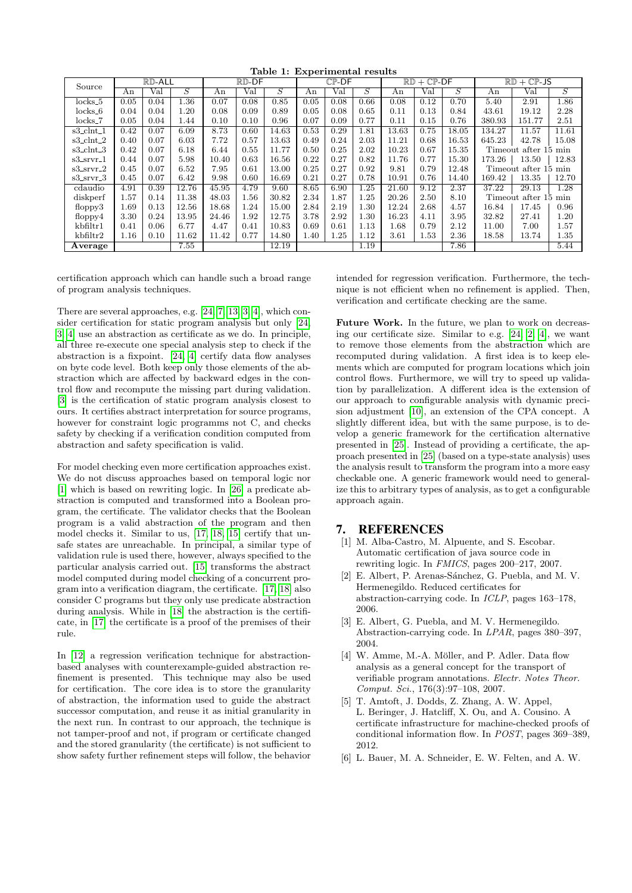| Source                     | $R$ D-ALL |      |       | $R$ <sup>D-DF</sup> |      |       | $CP-DF$ |      |          | $RD + CP-DF$ |      |       | $RD + CP$ -JS        |                   |       |
|----------------------------|-----------|------|-------|---------------------|------|-------|---------|------|----------|--------------|------|-------|----------------------|-------------------|-------|
|                            | An        | Val  | S     | Αn                  | Val  | S     | An      | Val  | S        | Αn           | Val  | S     | An                   | Val               | S     |
| $locks_5$                  | 0.05      | 0.04 | 1.36  | 0.07                | 0.08 | 0.85  | 0.05    | 0.08 | 0.66     | 0.08         | 0.12 | 0.70  | 5.40                 | $2.\overline{91}$ | 1.86  |
| $locks_6$                  | 0.04      | 0.04 | 1.20  | 0.08                | 0.09 | 0.89  | 0.05    | 0.08 | 0.65     | 0.11         | 0.13 | 0.84  | 43.61                | 19.12             | 2.28  |
| $locks_7$                  | 0.05      | 0.04 | 1.44  | 0.10                | 0.10 | 0.96  | 0.07    | 0.09 | 0.77     | 0.11         | 0.15 | 0.76  | 380.93               | 151.77            | 2.51  |
| $s3$ _clnt_1               | 0.42      | 0.07 | 6.09  | 8.73                | 0.60 | 14.63 | 0.53    | 0.29 | 1.81     | 13.63        | 0.75 | 18.05 | 134.27               | 11.57             | 11.61 |
| $s3$ <sub>-Clnt</sub> $-2$ | 0.40      | 0.07 | 6.03  | 7.72                | 0.57 | 13.63 | 0.49    | 0.24 | 2.03     | 11.21        | 0.68 | 16.53 | 645.23               | 42.78             | 15.08 |
| $s3$ _clnt_3               | 0.42      | 0.07 | 6.18  | 6.44                | 0.55 | 11.77 | 0.50    | 0.25 | 2.02     | 10.23        | 0.67 | 15.35 | Timeout after 15 min |                   |       |
| $s3$ _ $srvr_1$            | 0.44      | 0.07 | 5.98  | 10.40               | 0.63 | 16.56 | 0.22    | 0.27 | 0.82     | 11.76        | 0.77 | 15.30 | 173.26               | 13.50             | 12.83 |
| $s3$ _ $srvr_2$            | 0.45      | 0.07 | 6.52  | 7.95                | 0.61 | 13.00 | 0.25    | 0.27 | 0.92     | 9.81         | 0.79 | 12.48 | Timeout after 15 min |                   |       |
| $s3$ _ $srvr_3$            | 0.45      | 0.07 | 6.42  | 9.98                | 0.60 | 16.69 | 0.21    | 0.27 | 0.78     | 10.91        | 0.76 | 14.40 | 169.42               | 13.35             | 12.70 |
| cdaudio                    | 4.91      | 0.39 | 12.76 | 45.95               | 4.79 | 9.60  | 8.65    | 6.90 | 1.25     | 21.60        | 9.12 | 2.37  | 37.22                | 29.13             | 1.28  |
| diskperf                   | 1.57      | 0.14 | 11.38 | 48.03               | 1.56 | 30.82 | 2.34    | 1.87 | 1.25     | 20.26        | 2.50 | 8.10  | Timeout after 15 min |                   |       |
| $f_{\rm loppy3}$           | 1.69      | 0.13 | 12.56 | 18.68               | 1.24 | 15.00 | 2.84    | 2.19 | $1.30\,$ | 12.24        | 2.68 | 4.57  | 16.84                | 17.45             | 0.96  |
| $f_{\rm loppy4}$           | 3.30      | 0.24 | 13.95 | 24.46               | 1.92 | 12.75 | 3.78    | 2.92 | $1.30\,$ | 16.23        | 4.11 | 3.95  | 32.82                | 27.41             | 1.20  |
| kbfiltr1                   | 0.41      | 0.06 | 6.77  | 4.47                | 0.41 | 10.83 | 0.69    | 0.61 | 1.13     | 1.68         | 0.79 | 2.12  | 11.00                | 7.00              | 1.57  |
| $k$ bfiltr $2$             | 1.16      | 0.10 | 11.62 | 11.42               | 0.77 | 14.80 | 1.40    | 1.25 | 1.12     | 3.61         | 1.53 | 2.36  | 18.58                | 13.74             | 1.35  |
| Average                    |           |      | 7.55  |                     |      | 12.19 |         |      | 1.19     |              |      | 7.86  |                      |                   | 5.44  |

<span id="page-7-3"></span>Table 1: Experimental results

certification approach which can handle such a broad range of program analysis techniques.

There are several approaches, e.g. [\[24,](#page-8-10) [7,](#page-8-11) [13,](#page-8-12) [3,](#page-7-2) [4\]](#page-7-4), which consider certification for static program analysis but only [\[24,](#page-8-10) [3,](#page-7-2) [4\]](#page-7-4) use an abstraction as certificate as we do. In principle, all three re-execute one special analysis step to check if the abstraction is a fixpoint. [\[24,](#page-8-10) [4\]](#page-7-4) certify data flow analyses on byte code level. Both keep only those elements of the abstraction which are affected by backward edges in the control flow and recompute the missing part during validation. [\[3\]](#page-7-2) is the certification of static program analysis closest to ours. It certifies abstract interpretation for source programs, however for constraint logic programms not C, and checks safety by checking if a verification condition computed from abstraction and safety specification is valid.

For model checking even more certification approaches exist. We do not discuss approaches based on temporal logic nor [\[1\]](#page-7-5) which is based on rewriting logic. In [\[26\]](#page-8-13) a predicate abstraction is computed and transformed into a Boolean program, the certificate. The validator checks that the Boolean program is a valid abstraction of the program and then model checks it. Similar to us, [\[17,](#page-8-14) [18,](#page-8-15) [15\]](#page-8-16) certify that unsafe states are unreachable. In principal, a similar type of validation rule is used there, however, always specified to the particular analysis carried out. [\[15\]](#page-8-16) transforms the abstract model computed during model checking of a concurrent program into a verification diagram, the certificate. [\[17,](#page-8-14) [18\]](#page-8-15) also consider C programs but they only use predicate abstraction during analysis. While in [\[18\]](#page-8-15) the abstraction is the certificate, in [\[17\]](#page-8-14) the certificate is a proof of the premises of their rule.

In [\[12\]](#page-8-17) a regression verification technique for abstractionbased analyses with counterexample-guided abstraction refinement is presented. This technique may also be used for certification. The core idea is to store the granularity of abstraction, the information used to guide the abstract successor computation, and reuse it as initial granularity in the next run. In contrast to our approach, the technique is not tamper-proof and not, if program or certificate changed and the stored granularity (the certificate) is not sufficient to show safety further refinement steps will follow, the behavior

intended for regression verification. Furthermore, the technique is not efficient when no refinement is applied. Then, verification and certificate checking are the same.

Future Work. In the future, we plan to work on decreasing our certificate size. Similar to e.g. [\[24,](#page-8-10) [2,](#page-7-6) [4\]](#page-7-4), we want to remove those elements from the abstraction which are recomputed during validation. A first idea is to keep elements which are computed for program locations which join control flows. Furthermore, we will try to speed up validation by parallelization. A different idea is the extension of our approach to configurable analysis with dynamic precision adjustment [\[10\]](#page-8-18), an extension of the CPA concept. A slightly different idea, but with the same purpose, is to develop a generic framework for the certification alternative presented in [\[25\]](#page-8-19). Instead of providing a certificate, the approach presented in [\[25\]](#page-8-19) (based on a type-state analysis) uses the analysis result to transform the program into a more easy checkable one. A generic framework would need to generalize this to arbitrary types of analysis, as to get a configurable approach again.

# **REFERENCES**

- <span id="page-7-5"></span>[1] M. Alba-Castro, M. Alpuente, and S. Escobar. Automatic certification of java source code in rewriting logic. In FMICS, pages 200–217, 2007.
- <span id="page-7-6"></span>[2] E. Albert, P. Arenas-Sánchez, G. Puebla, and M. V. Hermenegildo. Reduced certificates for abstraction-carrying code. In ICLP, pages 163–178, 2006.
- <span id="page-7-2"></span>[3] E. Albert, G. Puebla, and M. V. Hermenegildo. Abstraction-carrying code. In LPAR, pages 380–397, 2004.
- <span id="page-7-4"></span>[4] W. Amme, M.-A. Möller, and P. Adler. Data flow analysis as a general concept for the transport of verifiable program annotations. Electr. Notes Theor. Comput. Sci., 176(3):97–108, 2007.
- <span id="page-7-1"></span>[5] T. Amtoft, J. Dodds, Z. Zhang, A. W. Appel, L. Beringer, J. Hatcliff, X. Ou, and A. Cousino. A certificate infrastructure for machine-checked proofs of conditional information flow. In POST, pages 369–389, 2012.
- <span id="page-7-0"></span>[6] L. Bauer, M. A. Schneider, E. W. Felten, and A. W.